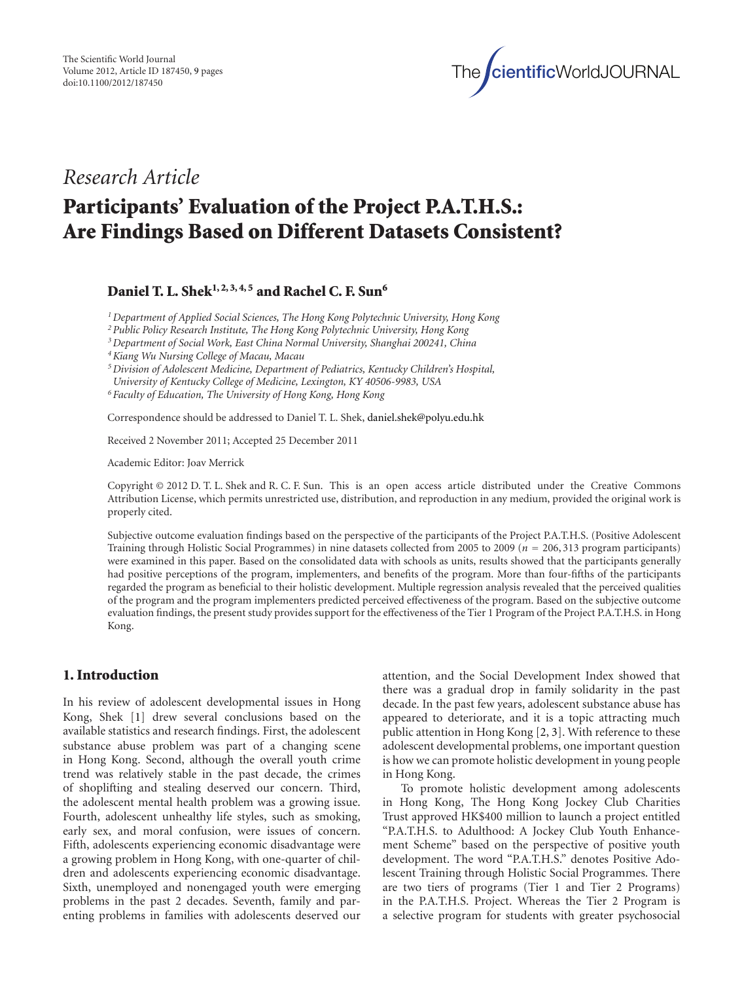

## *Research Article*

# **Participants' Evaluation of the Project P.A.T.H.S.: Are Findings Based on Different Datasets Consistent?**

Daniel T. L. Shek<sup>1, 2, 3, 4, 5</sup> and Rachel C. F. Sun<sup>6</sup>

*1Department of Applied Social Sciences, The Hong Kong Polytechnic University, Hong Kong*

*2Public Policy Research Institute, The Hong Kong Polytechnic University, Hong Kong*

*3Department of Social Work, East China Normal University, Shanghai 200241, China*

*4Kiang Wu Nursing College of Macau, Macau*

*5Division of Adolescent Medicine, Department of Pediatrics, Kentucky Children's Hospital,*

*University of Kentucky College of Medicine, Lexington, KY 40506-9983, USA*

*<sup>6</sup> Faculty of Education, The University of Hong Kong, Hong Kong*

Correspondence should be addressed to Daniel T. L. Shek, daniel.shek@polyu.edu.hk

Received 2 November 2011; Accepted 25 December 2011

Academic Editor: Joav Merrick

Copyright © 2012 D. T. L. Shek and R. C. F. Sun. This is an open access article distributed under the Creative Commons Attribution License, which permits unrestricted use, distribution, and reproduction in any medium, provided the original work is properly cited.

Subjective outcome evaluation findings based on the perspective of the participants of the Project P.A.T.H.S. (Positive Adolescent Training through Holistic Social Programmes) in nine datasets collected from 2005 to 2009 (*<sup>n</sup>* <sup>=</sup> 206, 313 program participants) were examined in this paper. Based on the consolidated data with schools as units, results showed that the participants generally had positive perceptions of the program, implementers, and benefits of the program. More than four-fifths of the participants regarded the program as beneficial to their holistic development. Multiple regression analysis revealed that the perceived qualities of the program and the program implementers predicted perceived effectiveness of the program. Based on the subjective outcome evaluation findings, the present study provides support for the effectiveness of the Tier 1 Program of the Project P.A.T.H.S. in Hong Kong.

### **1. Introduction**

In his review of adolescent developmental issues in Hong Kong, Shek [1] drew several conclusions based on the available statistics and research findings. First, the adolescent substance abuse problem was part of a changing scene in Hong Kong. Second, although the overall youth crime trend was relatively stable in the past decade, the crimes of shoplifting and stealing deserved our concern. Third, the adolescent mental health problem was a growing issue. Fourth, adolescent unhealthy life styles, such as smoking, early sex, and moral confusion, were issues of concern. Fifth, adolescents experiencing economic disadvantage were a growing problem in Hong Kong, with one-quarter of children and adolescents experiencing economic disadvantage. Sixth, unemployed and nonengaged youth were emerging problems in the past 2 decades. Seventh, family and parenting problems in families with adolescents deserved our

attention, and the Social Development Index showed that there was a gradual drop in family solidarity in the past decade. In the past few years, adolescent substance abuse has appeared to deteriorate, and it is a topic attracting much public attention in Hong Kong [2, 3]. With reference to these adolescent developmental problems, one important question is how we can promote holistic development in young people in Hong Kong.

To promote holistic development among adolescents in Hong Kong, The Hong Kong Jockey Club Charities Trust approved HK\$400 million to launch a project entitled "P.A.T.H.S. to Adulthood: A Jockey Club Youth Enhancement Scheme" based on the perspective of positive youth development. The word "P.A.T.H.S." denotes Positive Adolescent Training through Holistic Social Programmes. There are two tiers of programs (Tier 1 and Tier 2 Programs) in the P.A.T.H.S. Project. Whereas the Tier 2 Program is a selective program for students with greater psychosocial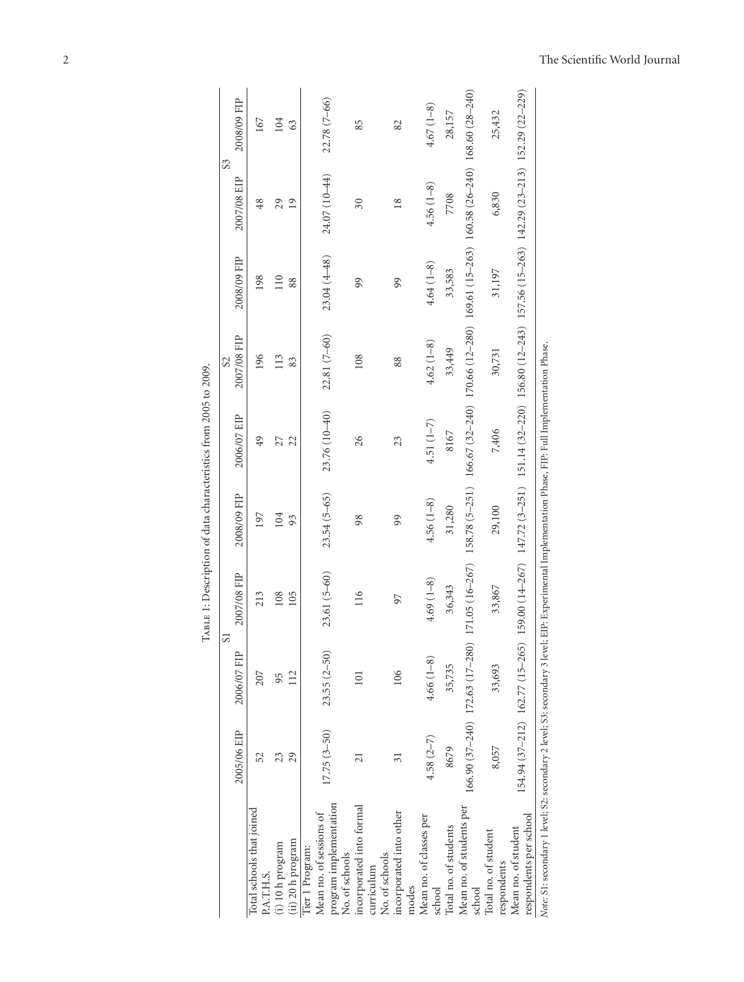|                                                                            |                                 |                                 |                 |               | TABLE 1: Description of data characteristics from 2005 to 2009.                                                |                |               |                 |               |
|----------------------------------------------------------------------------|---------------------------------|---------------------------------|-----------------|---------------|----------------------------------------------------------------------------------------------------------------|----------------|---------------|-----------------|---------------|
|                                                                            |                                 |                                 |                 |               |                                                                                                                | S <sub>2</sub> |               | S <sub>3</sub>  |               |
|                                                                            | 2005/06 EIP                     | 2006/07 FIP                     | 2007/08 FIP     | 2008/09 FIP   | 2006/07 EIP                                                                                                    | 2007/08 FIP    | 2008/09 FIP   | 2007/08 EIP     | 2008/09 FIP   |
| Total schools that joined<br>P.A.T.H.S.                                    | 52                              | 207                             | 213             | 197           | 49                                                                                                             | 196            | 198           | 48              | 167           |
| (i) 10 h program                                                           | 23                              | 95                              | 108             | 104           | 27                                                                                                             | 113            | 110           | 29              | 104           |
| (ii) 20 h program                                                          | 29                              | 112                             | 105             | 93            | 22                                                                                                             | 83             | 88            | $\overline{19}$ | 63            |
| Mean no. of sessions of<br>Tier 1 Program:                                 |                                 |                                 |                 |               |                                                                                                                |                |               |                 |               |
| program implementation                                                     | $17.75(3-50)$                   | $23.55(2 - 50)$                 | $23.61(5 - 60)$ | $23.54(5-65)$ | 23.76 (10-40)                                                                                                  | $22.81(7-60)$  | $23.04(4-48)$ | 24.07 (10-44)   | $22.78(7-66)$ |
| No. of schools                                                             |                                 |                                 |                 |               |                                                                                                                |                |               |                 |               |
| incorporated into formal                                                   | $\overline{c}$                  | 101                             | 116             | 98            | 26                                                                                                             | 108            | 99            | 30              | 85            |
| No. of schools<br>curriculum                                               |                                 |                                 |                 |               |                                                                                                                |                |               |                 |               |
| incorporated into other                                                    | $\overline{31}$                 | 106                             | 97              | 99            | 23                                                                                                             | 88             | 99            | $\frac{8}{18}$  | 82            |
| modes                                                                      |                                 |                                 |                 |               |                                                                                                                |                |               |                 |               |
| Mean no. of classes per<br>school                                          | $4.58(2-7)$                     | $4.66(1-8)$                     | $4.69(1-8)$     | $4.56(1-8)$   | $4.51(1-7)$                                                                                                    | $4.62(1-8)$    | $4.64(1-8)$   | $4.56(1-8)$     | $4.67(1-8)$   |
| Total no. of students                                                      | 8679                            | 35,735                          | 36,343          | 31,280        | 8167                                                                                                           | 33,449         | 33,583        | 7708            | 28,157        |
| Mean no. of students per<br>school                                         | 166.90 (37-240) 172.63 (17-280) |                                 | 171.05 (16-267) |               | $158.78(5-251)$ $166.67(32-240)$ $170.66(12-280)$ $169.61(15-263)$ $160.58(26-240)$ $168.60(28-240)$           |                |               |                 |               |
| Total no. of student<br>respondents                                        | 8,057                           | 33,693                          | 33,867          | 29,100        | 7,406                                                                                                          | 30,731         | 31,197        | 6,830           | 25,432        |
| respondents per school<br>Mean no. of student                              |                                 | 154.94 (37-212) 162.77 (15-265) |                 |               | 159.00 (14-267) 147.72 (3-251) 151.14 (32-220) 156.80 (12-243) 157.56 (15-263) 142.29 (23-213) 152.29 (22-229) |                |               |                 |               |
| Note: S1: secondary 1 level; S2: secondary 2 level; S3: secondary 3 level; |                                 |                                 |                 |               | EIP: Experimental Implementation Phase, FIP: Full Implementation Phase.                                        |                |               |                 |               |

TABLE 1: Description of data characteristics from 2005 to 2009.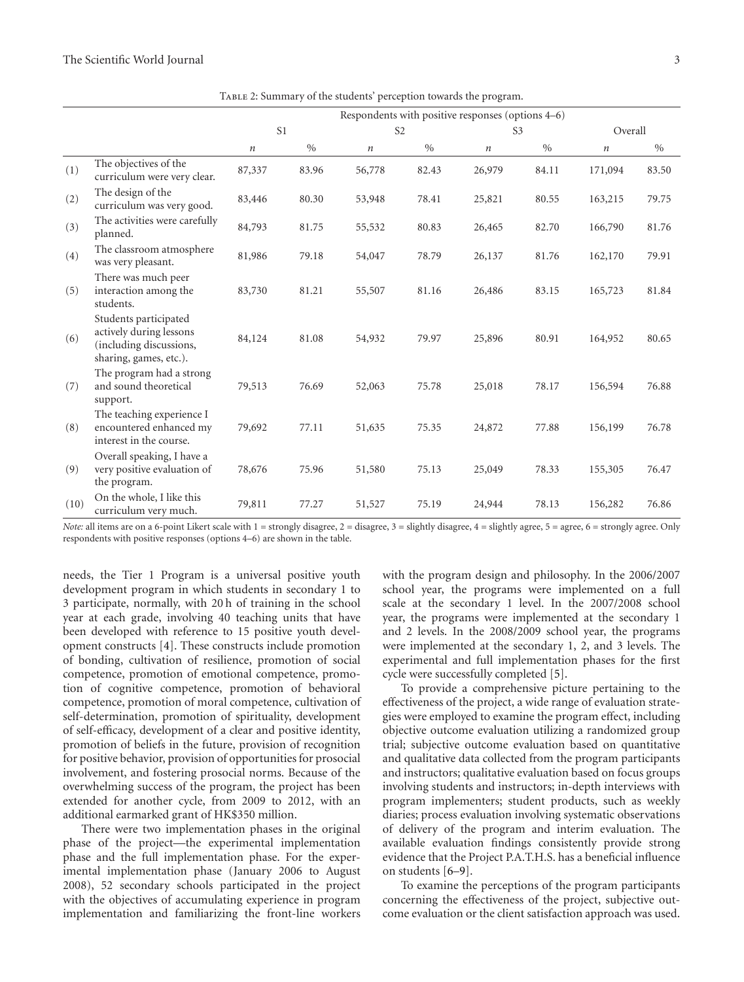|      |                                                                                                       |         |       |                |               | Respondents with positive responses (options 4–6) |       |                  |       |
|------|-------------------------------------------------------------------------------------------------------|---------|-------|----------------|---------------|---------------------------------------------------|-------|------------------|-------|
|      |                                                                                                       | S1      |       | S <sub>2</sub> |               | S <sub>3</sub>                                    |       | Overall          |       |
|      |                                                                                                       | $\it n$ | $\%$  | $\,n$          | $\frac{0}{0}$ | $\boldsymbol{n}$                                  | $\%$  | $\boldsymbol{n}$ | $\%$  |
| (1)  | The objectives of the<br>curriculum were very clear.                                                  | 87,337  | 83.96 | 56,778         | 82.43         | 26,979                                            | 84.11 | 171,094          | 83.50 |
| (2)  | The design of the<br>curriculum was very good.                                                        | 83,446  | 80.30 | 53,948         | 78.41         | 25,821                                            | 80.55 | 163,215          | 79.75 |
| (3)  | The activities were carefully<br>planned.                                                             | 84,793  | 81.75 | 55,532         | 80.83         | 26,465                                            | 82.70 | 166,790          | 81.76 |
| (4)  | The classroom atmosphere<br>was very pleasant.                                                        | 81,986  | 79.18 | 54,047         | 78.79         | 26,137                                            | 81.76 | 162,170          | 79.91 |
| (5)  | There was much peer<br>interaction among the<br>students.                                             | 83,730  | 81.21 | 55,507         | 81.16         | 26,486                                            | 83.15 | 165,723          | 81.84 |
| (6)  | Students participated<br>actively during lessons<br>(including discussions,<br>sharing, games, etc.). | 84,124  | 81.08 | 54,932         | 79.97         | 25,896                                            | 80.91 | 164,952          | 80.65 |
| (7)  | The program had a strong<br>and sound theoretical<br>support.                                         | 79,513  | 76.69 | 52,063         | 75.78         | 25,018                                            | 78.17 | 156,594          | 76.88 |
| (8)  | The teaching experience I<br>encountered enhanced my<br>interest in the course.                       | 79,692  | 77.11 | 51,635         | 75.35         | 24,872                                            | 77.88 | 156,199          | 76.78 |
| (9)  | Overall speaking, I have a<br>very positive evaluation of<br>the program.                             | 78,676  | 75.96 | 51,580         | 75.13         | 25,049                                            | 78.33 | 155,305          | 76.47 |
| (10) | On the whole, I like this<br>curriculum very much.                                                    | 79,811  | 77.27 | 51,527         | 75.19         | 24,944                                            | 78.13 | 156,282          | 76.86 |

Table 2: Summary of the students' perception towards the program.

*Note*: all items are on a 6-point Likert scale with 1 = strongly disagree, 2 = disagree, 3 = slightly disagree, 4 = slightly agree, 5 = agree, 6 = strongly agree. Only respondents with positive responses (options 4–6) are shown in the table.

needs, the Tier 1 Program is a universal positive youth development program in which students in secondary 1 to 3 participate, normally, with 20 h of training in the school year at each grade, involving 40 teaching units that have been developed with reference to 15 positive youth development constructs [4]. These constructs include promotion of bonding, cultivation of resilience, promotion of social competence, promotion of emotional competence, promotion of cognitive competence, promotion of behavioral competence, promotion of moral competence, cultivation of self-determination, promotion of spirituality, development of self-efficacy, development of a clear and positive identity, promotion of beliefs in the future, provision of recognition for positive behavior, provision of opportunities for prosocial involvement, and fostering prosocial norms. Because of the overwhelming success of the program, the project has been extended for another cycle, from 2009 to 2012, with an additional earmarked grant of HK\$350 million.

There were two implementation phases in the original phase of the project—the experimental implementation phase and the full implementation phase. For the experimental implementation phase (January 2006 to August 2008), 52 secondary schools participated in the project with the objectives of accumulating experience in program implementation and familiarizing the front-line workers

with the program design and philosophy. In the 2006/2007 school year, the programs were implemented on a full scale at the secondary 1 level. In the 2007/2008 school year, the programs were implemented at the secondary 1 and 2 levels. In the 2008/2009 school year, the programs were implemented at the secondary 1, 2, and 3 levels. The experimental and full implementation phases for the first cycle were successfully completed [5].

To provide a comprehensive picture pertaining to the effectiveness of the project, a wide range of evaluation strategies were employed to examine the program effect, including objective outcome evaluation utilizing a randomized group trial; subjective outcome evaluation based on quantitative and qualitative data collected from the program participants and instructors; qualitative evaluation based on focus groups involving students and instructors; in-depth interviews with program implementers; student products, such as weekly diaries; process evaluation involving systematic observations of delivery of the program and interim evaluation. The available evaluation findings consistently provide strong evidence that the Project P.A.T.H.S. has a beneficial influence on students [6–9].

To examine the perceptions of the program participants concerning the effectiveness of the project, subjective outcome evaluation or the client satisfaction approach was used.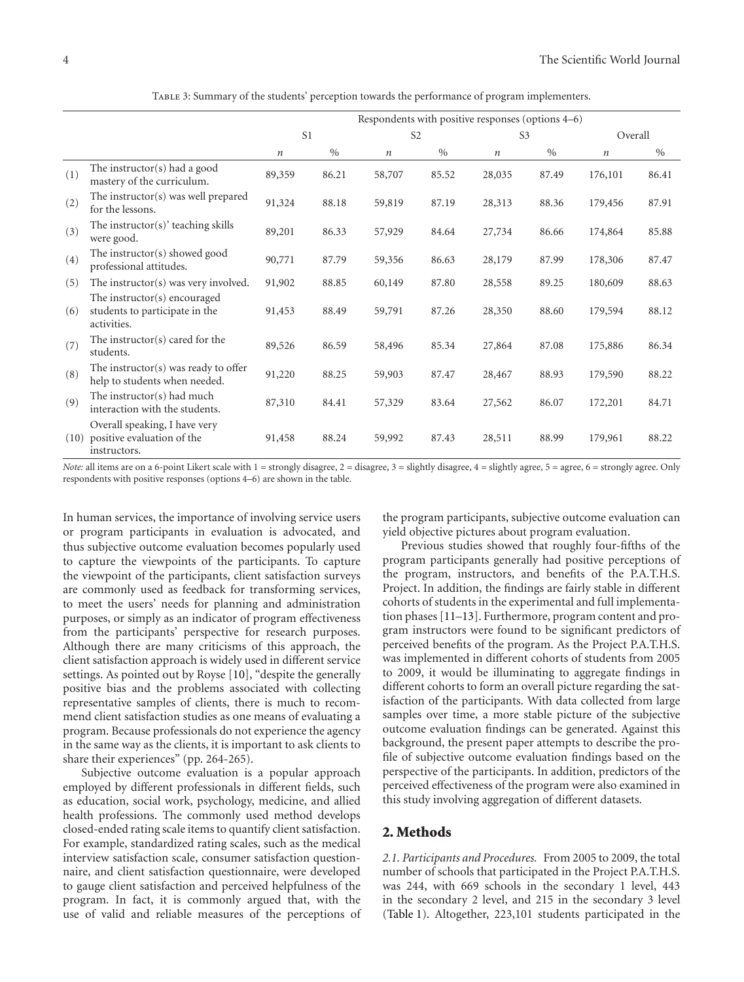Table 3: Summary of the students' perception towards the performance of program implementers.

|     |                                                                                  |                  |       | Respondents with positive responses (options 4–6) |       |                  |       |                  |       |
|-----|----------------------------------------------------------------------------------|------------------|-------|---------------------------------------------------|-------|------------------|-------|------------------|-------|
|     |                                                                                  | S <sub>1</sub>   |       | S <sub>2</sub>                                    |       | S <sub>3</sub>   |       | Overall          |       |
|     |                                                                                  | $\boldsymbol{n}$ | $\%$  | $\boldsymbol{n}$                                  | $\%$  | $\boldsymbol{n}$ | $\%$  | $\boldsymbol{n}$ | $\%$  |
| (1) | The instructor $(s)$ had a good<br>mastery of the curriculum.                    | 89,359           | 86.21 | 58,707                                            | 85.52 | 28,035           | 87.49 | 176,101          | 86.41 |
| (2) | The instructor $(s)$ was well prepared<br>for the lessons.                       | 91,324           | 88.18 | 59,819                                            | 87.19 | 28,313           | 88.36 | 179,456          | 87.91 |
| (3) | The instructor $(s)$ ' teaching skills<br>were good.                             | 89,201           | 86.33 | 57,929                                            | 84.64 | 27,734           | 86.66 | 174,864          | 85.88 |
| (4) | The instructor $(s)$ showed good<br>professional attitudes.                      | 90,771           | 87.79 | 59,356                                            | 86.63 | 28,179           | 87.99 | 178,306          | 87.47 |
| (5) | The instructor(s) was very involved.                                             | 91,902           | 88.85 | 60,149                                            | 87.80 | 28,558           | 89.25 | 180,609          | 88.63 |
| (6) | The instructor(s) encouraged<br>students to participate in the<br>activities.    | 91,453           | 88.49 | 59,791                                            | 87.26 | 28,350           | 88.60 | 179,594          | 88.12 |
| (7) | The instructor $(s)$ cared for the<br>students.                                  | 89,526           | 86.59 | 58,496                                            | 85.34 | 27,864           | 87.08 | 175,886          | 86.34 |
| (8) | The instructor $(s)$ was ready to offer<br>help to students when needed.         | 91,220           | 88.25 | 59,903                                            | 87.47 | 28,467           | 88.93 | 179,590          | 88.22 |
| (9) | The instructor(s) had much<br>interaction with the students.                     | 87,310           | 84.41 | 57,329                                            | 83.64 | 27,562           | 86.07 | 172,201          | 84.71 |
|     | Overall speaking, I have very<br>(10) positive evaluation of the<br>instructors. | 91,458           | 88.24 | 59,992                                            | 87.43 | 28,511           | 88.99 | 179,961          | 88.22 |

*Note*: all items are on a 6-point Likert scale with 1 = strongly disagree, 2 = disagree, 3 = slightly disagree, 4 = slightly agree, 5 = agree, 6 = strongly agree. Only respondents with positive responses (options 4–6) are shown in the table.

In human services, the importance of involving service users or program participants in evaluation is advocated, and thus subjective outcome evaluation becomes popularly used to capture the viewpoints of the participants. To capture the viewpoint of the participants, client satisfaction surveys are commonly used as feedback for transforming services, to meet the users' needs for planning and administration purposes, or simply as an indicator of program effectiveness from the participants' perspective for research purposes. Although there are many criticisms of this approach, the client satisfaction approach is widely used in different service settings. As pointed out by Royse [10], "despite the generally positive bias and the problems associated with collecting representative samples of clients, there is much to recommend client satisfaction studies as one means of evaluating a program. Because professionals do not experience the agency in the same way as the clients, it is important to ask clients to share their experiences" (pp. 264-265).

Subjective outcome evaluation is a popular approach employed by different professionals in different fields, such as education, social work, psychology, medicine, and allied health professions. The commonly used method develops closed-ended rating scale items to quantify client satisfaction. For example, standardized rating scales, such as the medical interview satisfaction scale, consumer satisfaction questionnaire, and client satisfaction questionnaire, were developed to gauge client satisfaction and perceived helpfulness of the program. In fact, it is commonly argued that, with the use of valid and reliable measures of the perceptions of the program participants, subjective outcome evaluation can yield objective pictures about program evaluation.

Previous studies showed that roughly four-fifths of the program participants generally had positive perceptions of the program, instructors, and benefits of the P.A.T.H.S. Project. In addition, the findings are fairly stable in different cohorts of students in the experimental and full implementation phases [11–13]. Furthermore, program content and program instructors were found to be significant predictors of perceived benefits of the program. As the Project P.A.T.H.S. was implemented in different cohorts of students from 2005 to 2009, it would be illuminating to aggregate findings in different cohorts to form an overall picture regarding the satisfaction of the participants. With data collected from large samples over time, a more stable picture of the subjective outcome evaluation findings can be generated. Against this background, the present paper attempts to describe the profile of subjective outcome evaluation findings based on the perspective of the participants. In addition, predictors of the perceived effectiveness of the program were also examined in this study involving aggregation of different datasets.

#### **2. Methods**

*2.1. Participants and Procedures.* From 2005 to 2009, the total number of schools that participated in the Project P.A.T.H.S. was 244, with 669 schools in the secondary 1 level, 443 in the secondary 2 level, and 215 in the secondary 3 level (Table 1). Altogether, 223,101 students participated in the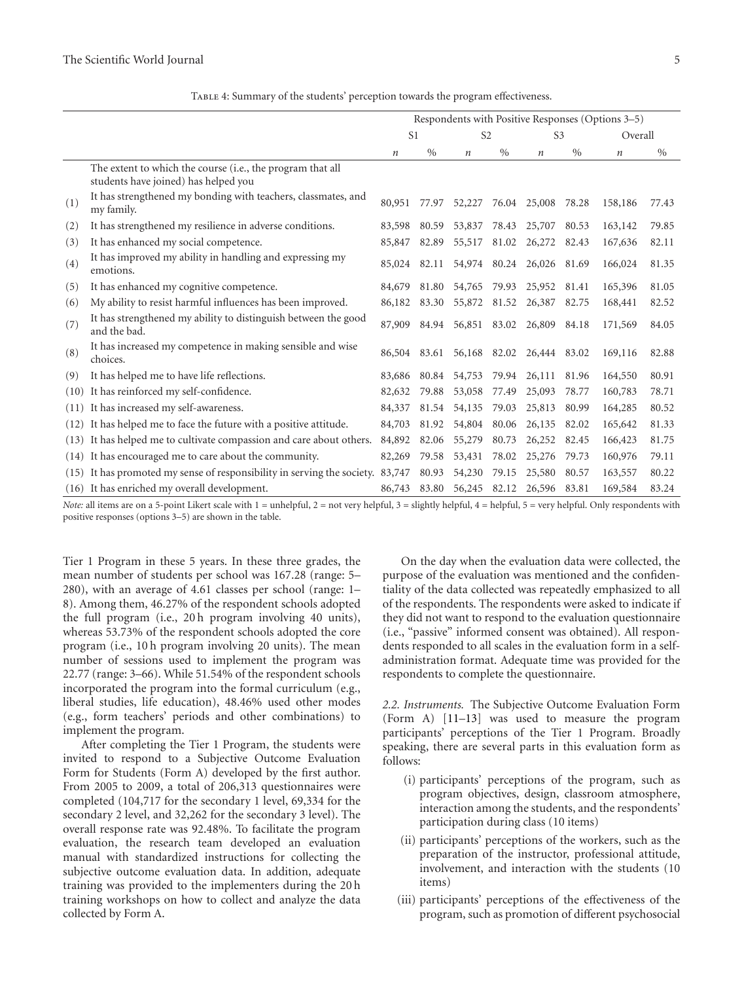|     |                                                                                                    |                  |       |                  |       |                           |       | Respondents with Positive Responses (Options 3–5) |       |
|-----|----------------------------------------------------------------------------------------------------|------------------|-------|------------------|-------|---------------------------|-------|---------------------------------------------------|-------|
|     |                                                                                                    | S <sub>1</sub>   |       | S <sub>2</sub>   |       | S <sub>3</sub>            |       | Overall                                           |       |
|     |                                                                                                    | $\boldsymbol{n}$ | $\%$  | $\boldsymbol{n}$ | $\%$  | $\boldsymbol{n}$          | $\%$  | $\boldsymbol{n}$                                  | $\%$  |
|     | The extent to which the course (i.e., the program that all<br>students have joined) has helped you |                  |       |                  |       |                           |       |                                                   |       |
| (1) | It has strengthened my bonding with teachers, classmates, and<br>my family.                        | 80,951           | 77.97 | 52,227           |       | 76.04 25,008              | 78.28 | 158,186                                           | 77.43 |
| (2) | It has strengthened my resilience in adverse conditions.                                           | 83,598           | 80.59 | 53,837           | 78.43 | 25,707                    | 80.53 | 163,142                                           | 79.85 |
| (3) | It has enhanced my social competence.                                                              | 85,847           | 82.89 | 55,517           | 81.02 | 26,272                    | 82.43 | 167,636                                           | 82.11 |
| (4) | It has improved my ability in handling and expressing my<br>emotions.                              | 85,024           | 82.11 |                  |       | 54,974 80.24 26,026       | 81.69 | 166,024                                           | 81.35 |
| (5) | It has enhanced my cognitive competence.                                                           | 84,679           | 81.80 | 54,765           | 79.93 | 25,952                    | 81.41 | 165,396                                           | 81.05 |
| (6) | My ability to resist harmful influences has been improved.                                         | 86,182           | 83.30 |                  |       | 55,872 81.52 26,387       | 82.75 | 168,441                                           | 82.52 |
| (7) | It has strengthened my ability to distinguish between the good<br>and the bad.                     | 87,909           | 84.94 |                  |       | 56,851 83.02 26,809 84.18 |       | 171,569                                           | 84.05 |
| (8) | It has increased my competence in making sensible and wise<br>choices.                             | 86,504           | 83.61 |                  |       | 56,168 82.02 26,444 83.02 |       | 169,116                                           | 82.88 |
| (9) | It has helped me to have life reflections.                                                         | 83,686           | 80.84 | 54,753           | 79.94 | 26,111                    | 81.96 | 164,550                                           | 80.91 |
|     | (10) It has reinforced my self-confidence.                                                         | 82,632           | 79.88 | 53,058           | 77.49 | 25,093                    | 78.77 | 160,783                                           | 78.71 |
|     | (11) It has increased my self-awareness.                                                           | 84,337           | 81.54 | 54,135           | 79.03 | 25,813                    | 80.99 | 164,285                                           | 80.52 |
|     | (12) It has helped me to face the future with a positive attitude.                                 | 84,703           | 81.92 | 54,804           | 80.06 | 26,135                    | 82.02 | 165,642                                           | 81.33 |
|     | (13) It has helped me to cultivate compassion and care about others.                               | 84,892           | 82.06 | 55,279           | 80.73 | 26,252                    | 82.45 | 166,423                                           | 81.75 |
|     | (14) It has encouraged me to care about the community.                                             | 82,269           | 79.58 | 53,431           | 78.02 | 25,276                    | 79.73 | 160,976                                           | 79.11 |

Table 4: Summary of the students' perception towards the program effectiveness.

(16) It has enriched my overall development. 86,743 83.80 56,245 82.12 26,596 83.81 169,584 83.24 *Note:* all items are on a 5-point Likert scale with 1 = unhelpful, 2 = not very helpful, 3 = slightly helpful, 4 = helpful, 5 = very helpful. Only respondents with positive responses (options 3–5) are shown in the table.

(15) It has promoted my sense of responsibility in serving the society. 83,747 80.93 54,230 79.15 25,580 80.57 163,557 80.22

Tier 1 Program in these 5 years. In these three grades, the mean number of students per school was 167.28 (range: 5– 280), with an average of 4.61 classes per school (range: 1– 8). Among them, 46.27% of the respondent schools adopted the full program (i.e., 20 h program involving 40 units), whereas 53.73% of the respondent schools adopted the core program (i.e., 10 h program involving 20 units). The mean number of sessions used to implement the program was 22.77 (range: 3–66). While 51.54% of the respondent schools incorporated the program into the formal curriculum (e.g., liberal studies, life education), 48.46% used other modes (e.g., form teachers' periods and other combinations) to implement the program.

After completing the Tier 1 Program, the students were invited to respond to a Subjective Outcome Evaluation Form for Students (Form A) developed by the first author. From 2005 to 2009, a total of 206,313 questionnaires were completed (104,717 for the secondary 1 level, 69,334 for the secondary 2 level, and 32,262 for the secondary 3 level). The overall response rate was 92.48%. To facilitate the program evaluation, the research team developed an evaluation manual with standardized instructions for collecting the subjective outcome evaluation data. In addition, adequate training was provided to the implementers during the 20 h training workshops on how to collect and analyze the data collected by Form A.

On the day when the evaluation data were collected, the purpose of the evaluation was mentioned and the confidentiality of the data collected was repeatedly emphasized to all of the respondents. The respondents were asked to indicate if they did not want to respond to the evaluation questionnaire (i.e., "passive" informed consent was obtained). All respondents responded to all scales in the evaluation form in a selfadministration format. Adequate time was provided for the respondents to complete the questionnaire.

*2.2. Instruments.* The Subjective Outcome Evaluation Form (Form A) [11–13] was used to measure the program participants' perceptions of the Tier 1 Program. Broadly speaking, there are several parts in this evaluation form as follows:

- (i) participants' perceptions of the program, such as program objectives, design, classroom atmosphere, interaction among the students, and the respondents' participation during class (10 items)
- (ii) participants' perceptions of the workers, such as the preparation of the instructor, professional attitude, involvement, and interaction with the students (10 items)
- (iii) participants' perceptions of the effectiveness of the program, such as promotion of different psychosocial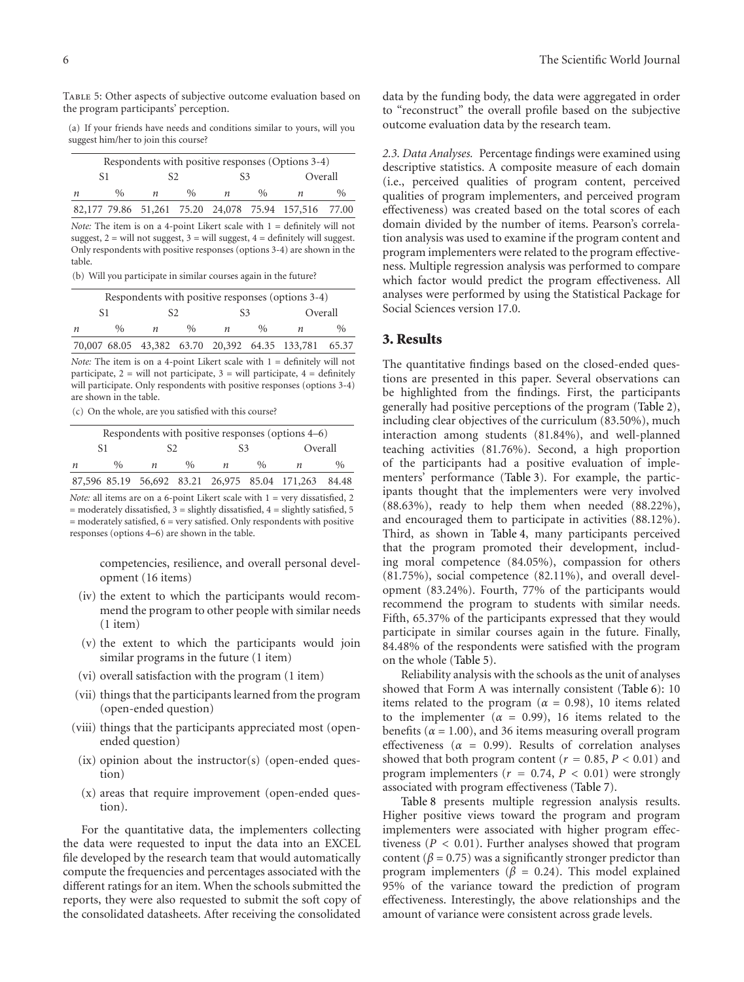Table 5: Other aspects of subjective outcome evaluation based on the program participants' perception.

(a) If your friends have needs and conditions similar to yours, will you suggest him/her to join this course?

|   |     |   |     |    |               | Respondents with positive responses (Options 3-4)    |               |
|---|-----|---|-----|----|---------------|------------------------------------------------------|---------------|
|   | S1  |   | S2. | S3 |               | Overall                                              |               |
| п | 0/2 | п | 0/2 | п  | $\frac{0}{0}$ | п                                                    | $\frac{0}{0}$ |
|   |     |   |     |    |               | 82,177 79.86 51,261 75.20 24,078 75.94 157,516 77.00 |               |

*Note:* The item is on a 4-point Likert scale with  $1 =$  definitely will not suggest,  $2 =$  will not suggest,  $3 =$  will suggest,  $4 =$  definitely will suggest. Only respondents with positive responses (options 3-4) are shown in the table.

(b) Will you participate in similar courses again in the future?

|                  |               |     |     |    |               | Respondents with positive responses (options 3-4)    |               |
|------------------|---------------|-----|-----|----|---------------|------------------------------------------------------|---------------|
|                  | S1            | S2. |     | S3 |               | Overall                                              |               |
| $\boldsymbol{n}$ | $\frac{0}{0}$ | п   | 0/2 | п  | $\frac{0}{0}$ |                                                      | $\frac{0}{0}$ |
|                  |               |     |     |    |               | 70,007 68.05 43,382 63.70 20,392 64.35 133,781 65.37 |               |

*Note:* The item is on a 4-point Likert scale with  $1 =$  definitely will not participate,  $2 =$  will not participate,  $3 =$  will participate,  $4 =$  definitely will participate. Only respondents with positive responses (options 3-4) are shown in the table.

(c) On the whole, are you satisfied with this course?

|                  |               |     |     |    |               | Respondents with positive responses (options 4–6)    |     |
|------------------|---------------|-----|-----|----|---------------|------------------------------------------------------|-----|
|                  | S1            | S2. |     | S3 |               | Overall                                              |     |
| $\boldsymbol{n}$ | $\frac{0}{0}$ | п   | 0/2 | п  | $\frac{0}{0}$ | n                                                    | 0/2 |
|                  |               |     |     |    |               | 87,596 85.19 56,692 83.21 26,975 85.04 171,263 84.48 |     |

*Note:* all items are on a 6-point Likert scale with  $1 =$  very dissatisfied, 2 = moderately dissatisfied, 3 = slightly dissatisfied, 4 = slightly satisfied, 5 = moderately satisfied, 6 = very satisfied. Only respondents with positive responses (options 4–6) are shown in the table.

> competencies, resilience, and overall personal development (16 items)

- (iv) the extent to which the participants would recommend the program to other people with similar needs (1 item)
- (v) the extent to which the participants would join similar programs in the future (1 item)
- (vi) overall satisfaction with the program (1 item)
- (vii) things that the participants learned from the program (open-ended question)
- (viii) things that the participants appreciated most (openended question)
- (ix) opinion about the instructor(s) (open-ended question)
- (x) areas that require improvement (open-ended question).

For the quantitative data, the implementers collecting the data were requested to input the data into an EXCEL file developed by the research team that would automatically compute the frequencies and percentages associated with the different ratings for an item. When the schools submitted the reports, they were also requested to submit the soft copy of the consolidated datasheets. After receiving the consolidated

data by the funding body, the data were aggregated in order to "reconstruct" the overall profile based on the subjective outcome evaluation data by the research team.

*2.3. Data Analyses.* Percentage findings were examined using descriptive statistics. A composite measure of each domain (i.e., perceived qualities of program content, perceived qualities of program implementers, and perceived program effectiveness) was created based on the total scores of each domain divided by the number of items. Pearson's correlation analysis was used to examine if the program content and program implementers were related to the program effectiveness. Multiple regression analysis was performed to compare which factor would predict the program effectiveness. All analyses were performed by using the Statistical Package for Social Sciences version 17.0.

#### **3. Results**

The quantitative findings based on the closed-ended questions are presented in this paper. Several observations can be highlighted from the findings. First, the participants generally had positive perceptions of the program (Table 2), including clear objectives of the curriculum (83.50%), much interaction among students (81.84%), and well-planned teaching activities (81.76%). Second, a high proportion of the participants had a positive evaluation of implementers' performance (Table 3). For example, the participants thought that the implementers were very involved (88.63%), ready to help them when needed (88.22%), and encouraged them to participate in activities (88.12%). Third, as shown in Table 4, many participants perceived that the program promoted their development, including moral competence (84.05%), compassion for others (81.75%), social competence (82.11%), and overall development (83.24%). Fourth, 77% of the participants would recommend the program to students with similar needs. Fifth, 65.37% of the participants expressed that they would participate in similar courses again in the future. Finally, 84.48% of the respondents were satisfied with the program on the whole (Table 5).

Reliability analysis with the schools as the unit of analyses showed that Form A was internally consistent (Table 6): 10 items related to the program ( $\alpha = 0.98$ ), 10 items related to the implementer ( $\alpha = 0.99$ ), 16 items related to the benefits ( $\alpha$  = 1.00), and 36 items measuring overall program effectiveness ( $\alpha = 0.99$ ). Results of correlation analyses showed that both program content ( $r = 0.85, P < 0.01$ ) and program implementers  $(r = 0.74, P < 0.01)$  were strongly associated with program effectiveness (Table 7).

Table 8 presents multiple regression analysis results. Higher positive views toward the program and program implementers were associated with higher program effectiveness (*P <* 0*.*01). Further analyses showed that program content ( $\beta$  = 0.75) was a significantly stronger predictor than program implementers ( $\beta$  = 0.24). This model explained 95% of the variance toward the prediction of program effectiveness. Interestingly, the above relationships and the amount of variance were consistent across grade levels.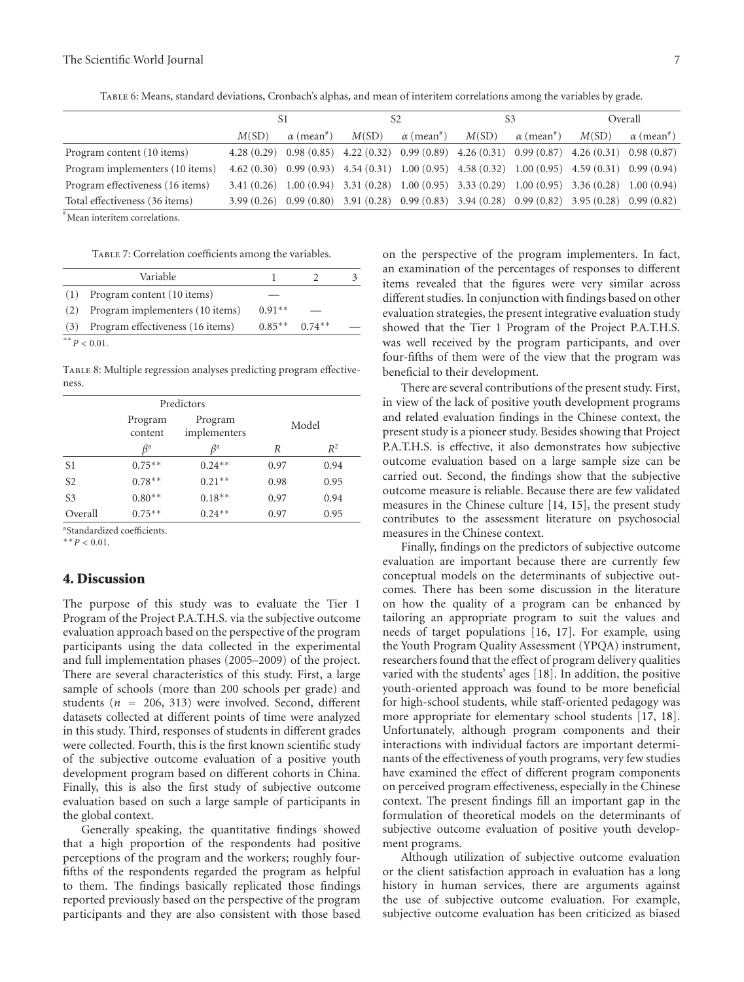|                                  |       | S1                            |       | S <sub>2</sub>                |       | S3                            |                                                                                                         | Overall                       |
|----------------------------------|-------|-------------------------------|-------|-------------------------------|-------|-------------------------------|---------------------------------------------------------------------------------------------------------|-------------------------------|
|                                  | M(SD) | $\alpha$ (mean <sup>#</sup> ) | M(SD) | $\alpha$ (mean <sup>#</sup> ) | M(SD) | $\alpha$ (mean <sup>#</sup> ) | M(SD)                                                                                                   | $\alpha$ (mean <sup>#</sup> ) |
| Program content (10 items)       |       |                               |       |                               |       |                               | 4.28 (0.29) 0.98 (0.85) 4.22 (0.32) 0.99 (0.89) 4.26 (0.31) 0.99 (0.87) 4.26 (0.31) 0.98 (0.87)         |                               |
| Program implementers (10 items)  |       |                               |       |                               |       |                               | $4.62(0.30)$ $0.99(0.93)$ $4.54(0.31)$ $1.00(0.95)$ $4.58(0.32)$ $1.00(0.95)$ $4.59(0.31)$ $0.99(0.94)$ |                               |
| Program effectiveness (16 items) |       |                               |       |                               |       |                               | 3.41 (0.26) 1.00 (0.94) 3.31 (0.28) 1.00 (0.95) 3.33 (0.29) 1.00 (0.95) 3.36 (0.28) 1.00 (0.94)         |                               |
| Total effectiveness (36 items)   |       |                               |       |                               |       |                               | $3.99(0.26)$ $0.99(0.80)$ $3.91(0.28)$ $0.99(0.83)$ $3.94(0.28)$ $0.99(0.82)$ $3.95(0.28)$ $0.99(0.82)$ |                               |
| かんよう しゅうしゅう きょうしょう しゅうしょう しゅうしゅう |       |                               |       |                               |       |                               |                                                                                                         |                               |

Mean interitem correlations.

TABLE 7: Correlation coefficients among the variables.

|     | Variable                         |          |          |  |
|-----|----------------------------------|----------|----------|--|
| (1) | Program content (10 items)       |          |          |  |
| (2) | Program implementers (10 items)  | $0.91**$ |          |  |
| (3) | Program effectiveness (16 items) | $0.85**$ | $0.74**$ |  |
|     | ** $P < 0.01$ .                  |          |          |  |

TABLE 8: Multiple regression analyses predicting program effectiveness.

|                |                    | Predictors              |      |       |
|----------------|--------------------|-------------------------|------|-------|
|                | Program<br>content | Program<br>implementers |      | Model |
|                | ߪ                  | ߪ                       | R    | $R^2$ |
| S <sub>1</sub> | $0.75**$           | $0.24***$               | 0.97 | 0.94  |
| S <sub>2</sub> | $0.78**$           | $0.21**$                | 0.98 | 0.95  |
| S <sub>3</sub> | $0.80**$           | $0.18**$                | 0.97 | 0.94  |
| Overall        | $0.75**$           | $0.24**$                | 0.97 | 0.95  |

aStandardized coefficients.

 $* * P < 0.01$ .

#### **4. Discussion**

The purpose of this study was to evaluate the Tier 1 Program of the Project P.A.T.H.S. via the subjective outcome evaluation approach based on the perspective of the program participants using the data collected in the experimental and full implementation phases (2005–2009) of the project. There are several characteristics of this study. First, a large sample of schools (more than 200 schools per grade) and students (*<sup>n</sup>* <sup>=</sup> 206, 313) were involved. Second, different datasets collected at different points of time were analyzed in this study. Third, responses of students in different grades were collected. Fourth, this is the first known scientific study of the subjective outcome evaluation of a positive youth development program based on different cohorts in China. Finally, this is also the first study of subjective outcome evaluation based on such a large sample of participants in the global context.

Generally speaking, the quantitative findings showed that a high proportion of the respondents had positive perceptions of the program and the workers; roughly fourfifths of the respondents regarded the program as helpful to them. The findings basically replicated those findings reported previously based on the perspective of the program participants and they are also consistent with those based

on the perspective of the program implementers. In fact, an examination of the percentages of responses to different items revealed that the figures were very similar across different studies. In conjunction with findings based on other evaluation strategies, the present integrative evaluation study showed that the Tier 1 Program of the Project P.A.T.H.S. was well received by the program participants, and over four-fifths of them were of the view that the program was beneficial to their development.

There are several contributions of the present study. First, in view of the lack of positive youth development programs and related evaluation findings in the Chinese context, the present study is a pioneer study. Besides showing that Project P.A.T.H.S. is effective, it also demonstrates how subjective outcome evaluation based on a large sample size can be carried out. Second, the findings show that the subjective outcome measure is reliable. Because there are few validated measures in the Chinese culture [14, 15], the present study contributes to the assessment literature on psychosocial measures in the Chinese context.

Finally, findings on the predictors of subjective outcome evaluation are important because there are currently few conceptual models on the determinants of subjective outcomes. There has been some discussion in the literature on how the quality of a program can be enhanced by tailoring an appropriate program to suit the values and needs of target populations [16, 17]. For example, using the Youth Program Quality Assessment (YPQA) instrument, researchers found that the effect of program delivery qualities varied with the students' ages [18]. In addition, the positive youth-oriented approach was found to be more beneficial for high-school students, while staff-oriented pedagogy was more appropriate for elementary school students [17, 18]. Unfortunately, although program components and their interactions with individual factors are important determinants of the effectiveness of youth programs, very few studies have examined the effect of different program components on perceived program effectiveness, especially in the Chinese context. The present findings fill an important gap in the formulation of theoretical models on the determinants of subjective outcome evaluation of positive youth development programs.

Although utilization of subjective outcome evaluation or the client satisfaction approach in evaluation has a long history in human services, there are arguments against the use of subjective outcome evaluation. For example, subjective outcome evaluation has been criticized as biased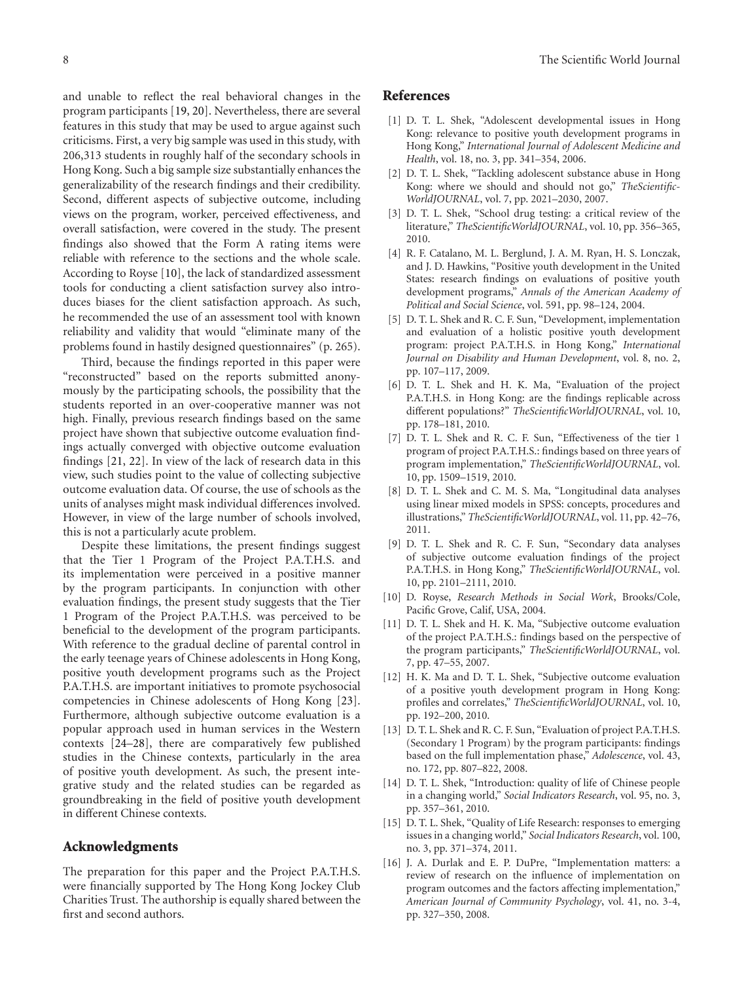and unable to reflect the real behavioral changes in the program participants [19, 20]. Nevertheless, there are several features in this study that may be used to argue against such criticisms. First, a very big sample was used in this study, with 206,313 students in roughly half of the secondary schools in Hong Kong. Such a big sample size substantially enhances the generalizability of the research findings and their credibility. Second, different aspects of subjective outcome, including views on the program, worker, perceived effectiveness, and overall satisfaction, were covered in the study. The present findings also showed that the Form A rating items were reliable with reference to the sections and the whole scale. According to Royse [10], the lack of standardized assessment tools for conducting a client satisfaction survey also introduces biases for the client satisfaction approach. As such, he recommended the use of an assessment tool with known reliability and validity that would "eliminate many of the problems found in hastily designed questionnaires" (p. 265).

Third, because the findings reported in this paper were "reconstructed" based on the reports submitted anonymously by the participating schools, the possibility that the students reported in an over-cooperative manner was not high. Finally, previous research findings based on the same project have shown that subjective outcome evaluation findings actually converged with objective outcome evaluation findings [21, 22]. In view of the lack of research data in this view, such studies point to the value of collecting subjective outcome evaluation data. Of course, the use of schools as the units of analyses might mask individual differences involved. However, in view of the large number of schools involved, this is not a particularly acute problem.

Despite these limitations, the present findings suggest that the Tier 1 Program of the Project P.A.T.H.S. and its implementation were perceived in a positive manner by the program participants. In conjunction with other evaluation findings, the present study suggests that the Tier 1 Program of the Project P.A.T.H.S. was perceived to be beneficial to the development of the program participants. With reference to the gradual decline of parental control in the early teenage years of Chinese adolescents in Hong Kong, positive youth development programs such as the Project P.A.T.H.S. are important initiatives to promote psychosocial competencies in Chinese adolescents of Hong Kong [23]. Furthermore, although subjective outcome evaluation is a popular approach used in human services in the Western contexts [24–28], there are comparatively few published studies in the Chinese contexts, particularly in the area of positive youth development. As such, the present integrative study and the related studies can be regarded as groundbreaking in the field of positive youth development in different Chinese contexts.

#### **Acknowledgments**

The preparation for this paper and the Project P.A.T.H.S. were financially supported by The Hong Kong Jockey Club Charities Trust. The authorship is equally shared between the first and second authors.

#### **References**

- [1] D. T. L. Shek, "Adolescent developmental issues in Hong Kong: relevance to positive youth development programs in Hong Kong," *International Journal of Adolescent Medicine and Health*, vol. 18, no. 3, pp. 341–354, 2006.
- [2] D. T. L. Shek, "Tackling adolescent substance abuse in Hong Kong: where we should and should not go," *TheScientific-WorldJOURNAL*, vol. 7, pp. 2021–2030, 2007.
- [3] D. T. L. Shek, "School drug testing: a critical review of the literature," *TheScientificWorldJOURNAL*, vol. 10, pp. 356–365, 2010.
- [4] R. F. Catalano, M. L. Berglund, J. A. M. Ryan, H. S. Lonczak, and J. D. Hawkins, "Positive youth development in the United States: research findings on evaluations of positive youth development programs," *Annals of the American Academy of Political and Social Science*, vol. 591, pp. 98–124, 2004.
- [5] D. T. L. Shek and R. C. F. Sun, "Development, implementation and evaluation of a holistic positive youth development program: project P.A.T.H.S. in Hong Kong," *International Journal on Disability and Human Development*, vol. 8, no. 2, pp. 107–117, 2009.
- [6] D. T. L. Shek and H. K. Ma, "Evaluation of the project P.A.T.H.S. in Hong Kong: are the findings replicable across different populations?" *TheScientificWorldJOURNAL*, vol. 10, pp. 178–181, 2010.
- [7] D. T. L. Shek and R. C. F. Sun, "Effectiveness of the tier 1 program of project P.A.T.H.S.: findings based on three years of program implementation," *TheScientificWorldJOURNAL*, vol. 10, pp. 1509–1519, 2010.
- [8] D. T. L. Shek and C. M. S. Ma, "Longitudinal data analyses using linear mixed models in SPSS: concepts, procedures and illustrations," *TheScientificWorldJOURNAL*, vol. 11, pp. 42–76, 2011.
- [9] D. T. L. Shek and R. C. F. Sun, "Secondary data analyses of subjective outcome evaluation findings of the project P.A.T.H.S. in Hong Kong," *TheScientificWorldJOURNAL*, vol. 10, pp. 2101–2111, 2010.
- [10] D. Royse, *Research Methods in Social Work*, Brooks/Cole, Pacific Grove, Calif, USA, 2004.
- [11] D. T. L. Shek and H. K. Ma, "Subjective outcome evaluation of the project P.A.T.H.S.: findings based on the perspective of the program participants," *TheScientificWorldJOURNAL*, vol. 7, pp. 47–55, 2007.
- [12] H. K. Ma and D. T. L. Shek, "Subjective outcome evaluation of a positive youth development program in Hong Kong: profiles and correlates," *TheScientificWorldJOURNAL*, vol. 10, pp. 192–200, 2010.
- [13] D. T. L. Shek and R. C. F. Sun, "Evaluation of project P.A.T.H.S. (Secondary 1 Program) by the program participants: findings based on the full implementation phase," *Adolescence*, vol. 43, no. 172, pp. 807–822, 2008.
- [14] D. T. L. Shek, "Introduction: quality of life of Chinese people in a changing world," *Social Indicators Research*, vol. 95, no. 3, pp. 357–361, 2010.
- [15] D. T. L. Shek, "Quality of Life Research: responses to emerging issues in a changing world," *Social Indicators Research*, vol. 100, no. 3, pp. 371–374, 2011.
- [16] J. A. Durlak and E. P. DuPre, "Implementation matters: a review of research on the influence of implementation on program outcomes and the factors affecting implementation," *American Journal of Community Psychology*, vol. 41, no. 3-4, pp. 327–350, 2008.